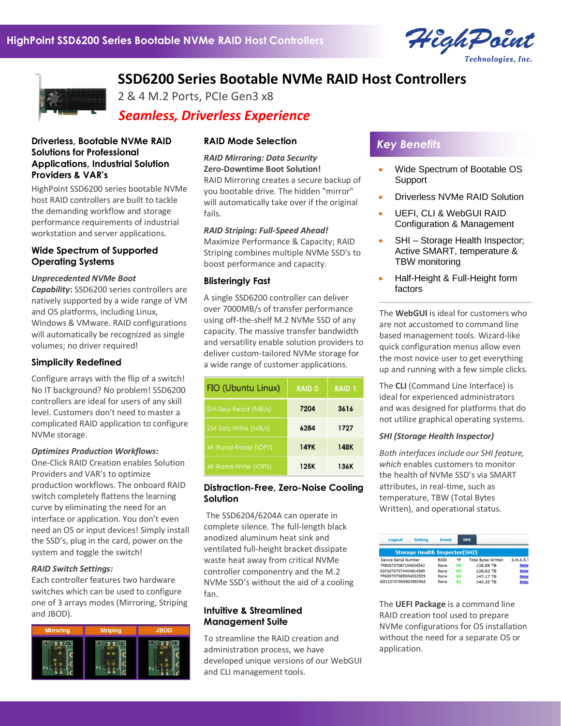



2 & 4 M.2 Ports, PCIe Gen3 x8

# *Seamless, Driverless Experience*

#### **Driverless, Bootable NVMe RAID Solutions for Professional Applications, Industrial Solution Providers & VAR's**

HighPoint SSD6200 series bootable NVMe host RAID controllers are built to tackle the demanding workflow and storage performance requirements of industrial workstation and server applications.

## **Wide Spectrum of Supported Operating Systems**

#### *Unprecedented NVMe Boot*

*Capability***:** SSD6200 series controllers are natively supported by a wide range of VM and OS platforms, including Linux, Windows & VMware. RAID configurations will automatically be recognized as single volumes; no driver required!

## **Simplicity Redefined**

Configure arrays with the flip of a switch! No IT background? No problem! SSD6200 controllers are ideal for users of any skill level. Customers don't need to master a complicated RAID application to configure NVMe storage.

#### *Optimizes Production Workflows:*

One-Click RAID Creation enables Solution Providers and VAR's to optimize production workflows. The onboard RAID switch completely flattens the learning curve by eliminating the need for an interface or application. You don't even need an OS or input devices! Simply install the SSD's, plug in the card, power on the system and toggle the switch!

#### *RAID Switch Settings:*

Each controller features two hardware switches which can be used to configure one of 3 arrays modes (Mirroring, Striping and JBOD).



#### **RAID Mode Selection**

*RAID Mirroring: Data Security* **Zero-Downtime Boot Solution!**

RAID Mirroring creates a secure backup of you bootable drive. The hidden "mirror" will automatically take over if the original fails.

**SSD6200 Series Bootable NVMe RAID Host Controllers**

## *RAID Striping: Full-Speed Ahead!*

Maximize Performance & Capacity; RAID Striping combines multiple NVMe SSD's to boost performance and capacity.

#### **Blisteringly Fast**

A single SSD6200 controller can deliver over 7000MB/s of transfer performance using off-the-shelf M.2 NVMe SSD of any capacity. The massive transfer bandwidth and versatility enable solution providers to deliver custom-tailored NVMe storage for a wide range of customer applications.

| FIO (Ubuntu Linux)   | <b>RAID 0</b> | <b>RAID 1</b> |
|----------------------|---------------|---------------|
| 2M-Seq-Read (MB/s)   | 7204          | 3616          |
| 2M-Seq-Write (MB/s)  | 6284          | 1727          |
| 4K-Rand-Read (IOPS)  | 149K          | <b>148K</b>   |
| 4K-Rand-Write (IOPS) | 125K          | 136K          |

#### **Distraction-Free, Zero-Noise Cooling Solution**

The SSD6204/6204A can operate in complete silence. The full-length black anodized aluminum heat sink and ventilated full-height bracket dissipate waste heat away from critical NVMe controller componentry and the M.2 NVMe SSD's without the aid of a cooling fan.

#### **Intuitive & Streamlined Management Suite**

To streamline the RAID creation and administration process, we have developed unique versions of our WebGUI and CLI management tools.

# *Key Benefits*

- Wide Spectrum of Bootable OS Support
- Driverless NVMe RAID Solution
- UEFI, CLI & WebGUI RAID Configuration & Management
- SHI Storage Health Inspector; Active SMART, temperature & TBW monitoring
- Half-Height & Full-Height form factors

The **WebGUI** is ideal for customers who are not accustomed to command line based management tools. Wizard-like quick configuration menus allow even the most novice user to get everything up and running with a few simple clicks.

The **CLI** (Command Line Interface) is ideal for experienced administrators and was designed for platforms that do not utilize graphical operating systems.

#### *SHI (Storage Health Inspector)*

*Both interfaces include our SHI feature, which* enables customers to monitor the health of NVMe SSD's via SMART attributes, in real-time, such as temperature, TBW (Total Bytes Written), and operational status.

| Logical                              | <b>Setting</b> | <b>Event</b> |              | <b>SHI</b> |                            |              |  |
|--------------------------------------|----------------|--------------|--------------|------------|----------------------------|--------------|--|
| <b>Storage Health Inspector(SHI)</b> |                |              |              |            |                            |              |  |
| Device Serial Number                 |                | RAID         | $^{\circ}$ F |            | <b>Total Bytes Written</b> | S.M.A.R.T    |  |
| 7FE00707087104034542                 |                | None         | 89           |            | 138,89 TB                  | <b>Detai</b> |  |
| 03F10707074404014589                 |                | None         | 89           |            | 138,63 TB                  | <b>Detai</b> |  |
| 7F600707089D04033529                 |                | None         | 89           |            | 147.17 TB                  | <b>Detai</b> |  |
| 6D110707069503992916                 |                | None         |              |            | 140.32 TB                  | <b>Detai</b> |  |

The **UEFI Package** is a command line RAID creation tool used to prepare NVMe configurations for OS installation without the need for a separate OS or application.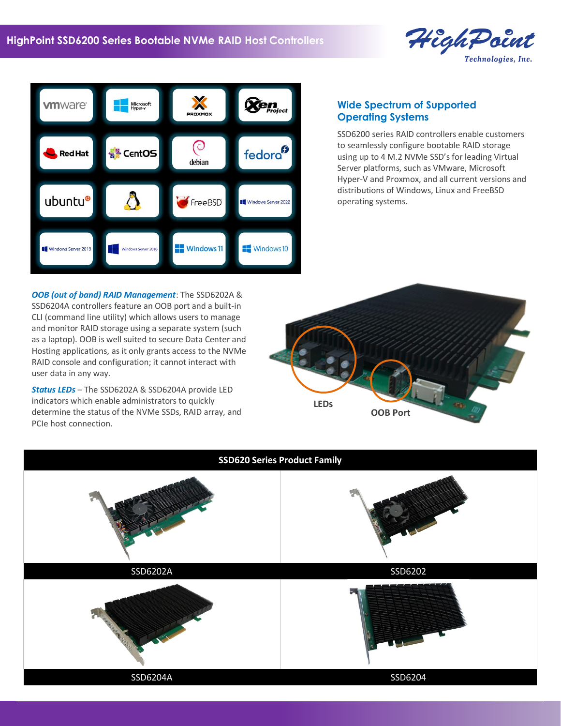



# **Wide Spectrum of Supported Operating Systems**

SSD6200 series RAID controllers enable customers to seamlessly configure bootable RAID storage using up to 4 M.2 NVMe SSD's for leading Virtual Server platforms, such as VMware, Microsoft Hyper-V and Proxmox, and all current versions and distributions of Windows, Linux and FreeBSD operating systems.

*OOB (out of band) RAID Management*: The SSD6202A & SSD6204A controllers feature an OOB port and a built-in CLI (command line utility) which allows users to manage and monitor RAID storage using a separate system (such as a laptop). OOB is well suited to secure Data Center and Hosting applications, as it only grants access to the NVMe RAID console and configuration; it cannot interact with user data in any way.

*Status LEDs* – The SSD6202A & SSD6204A provide LED indicators which enable administrators to quickly determine the status of the NVMe SSDs, RAID array, and PCIe host connection.